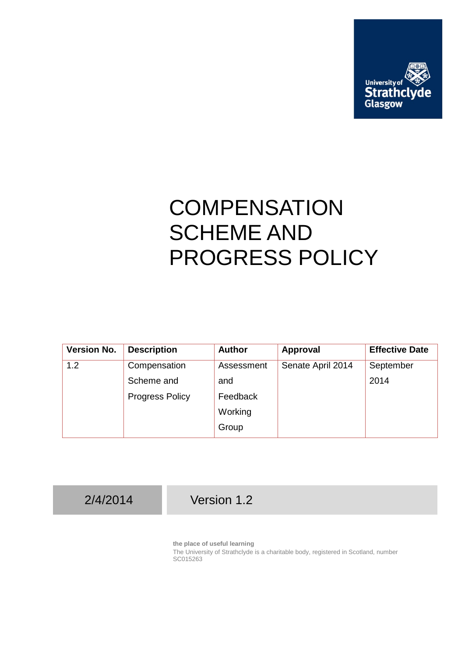

## **COMPENSATION** SCHEME AND PROGRESS POLICY

| <b>Version No.</b> | <b>Description</b>     | <b>Author</b> | Approval          | <b>Effective Date</b> |
|--------------------|------------------------|---------------|-------------------|-----------------------|
| 1.2                | Compensation           | Assessment    | Senate April 2014 | September             |
|                    | Scheme and             | and           |                   | 2014                  |
|                    | <b>Progress Policy</b> | Feedback      |                   |                       |
|                    |                        | Working       |                   |                       |
|                    |                        | Group         |                   |                       |

2/4/2014 Version 1.2

**the place of useful learning**

The University of Strathclyde is a charitable body, registered in Scotland, number SC015263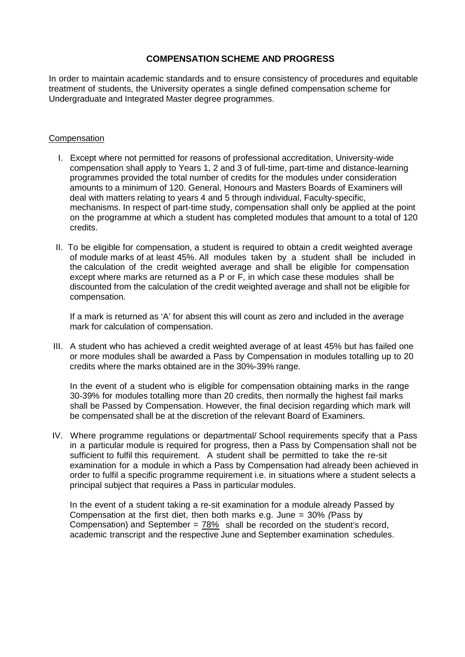## **COMPENSATION SCHEME AND PROGRESS**

In order to maintain academic standards and to ensure consistency of procedures and equitable treatment of students, the University operates a single defined compensation scheme for Undergraduate and Integrated Master degree programmes.

## **Compensation**

- I. Except where not permitted for reasons of professional accreditation, University-wide compensation shall apply to Years 1, 2 and 3 of full-time, part-time and distance-learning programmes provided the total number of credits for the modules under consideration amounts to a minimum of 120. General, Honours and Masters Boards of Examiners will deal with matters relating to years 4 and 5 through individual, Faculty-specific, mechanisms. In respect of part-time study, compensation shall only be applied at the point on the programme at which a student has completed modules that amount to a total of 120 credits.
- II. To be eligible for compensation, a student is required to obtain a credit weighted average of module marks of at least 45%. All modules taken by a student shall be included in the calculation of the credit weighted average and shall be eligible for compensation except where marks are returned as a P or F, in which case these modules shall be discounted from the calculation of the credit weighted average and shall not be eligible for compensation*.*

If a mark is returned as 'A' for absent this will count as zero and included in the average mark for calculation of compensation.

III. A student who has achieved a credit weighted average of at least 45% but has failed one or more modules shall be awarded a Pass by Compensation in modules totalling up to 20 credits where the marks obtained are in the 30%-39% range.

In the event of a student who is eligible for compensation obtaining marks in the range 30-39% for modules totalling more than 20 credits, then normally the highest fail marks shall be Passed by Compensation. However, the final decision regarding which mark will be compensated shall be at the discretion of the relevant Board of Examiners.

IV. Where programme regulations or departmental/ School requirements specify that a Pass in a particular module is required for progress, then a Pass by Compensation shall not be sufficient to fulfil this requirement. A student shall be permitted to take the re-sit examination for a module in which a Pass by Compensation had already been achieved in order to fulfil a specific programme requirement i.e. in situations where a student selects a principal subject that requires a Pass in particular modules.

In the event of a student taking a re-sit examination for a module already Passed by Compensation at the first diet, then both marks e.g. June = 30% *(*Pass by Compensation) and September =  $78\%$  shall be recorded on the student's record, academic transcript and the respective June and September examination schedules.